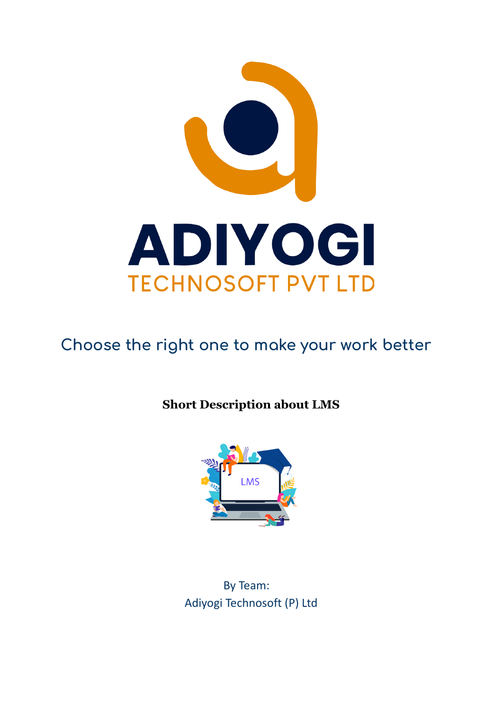

# **Choose the right one to make your work better**

# **Short Description about LMS**



By Team: Adiyogi Technosoft (P) Ltd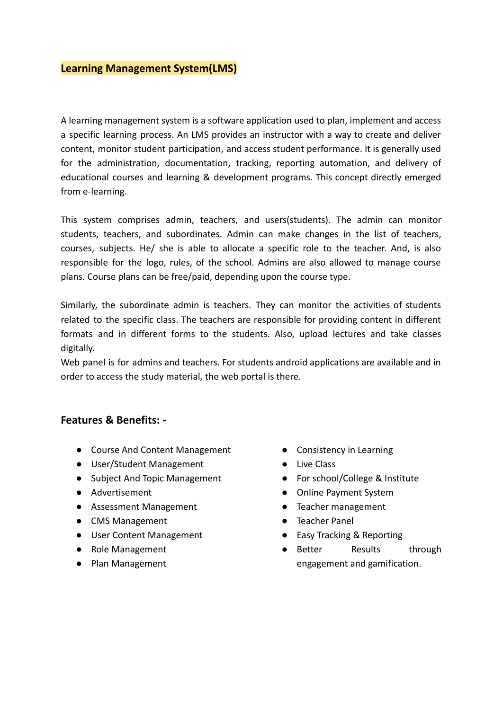# **Learning Management System(LMS)**

A learning management system is a software application used to plan, implement and access a specific learning process. An LMS provides an instructor with a way to create and deliver content, monitor student participation, and access student performance. It is generally used for the administration, documentation, tracking, reporting automation, and delivery of educational courses and learning & development programs. This concept directly emerged from e-learning.

This system comprises admin, teachers, and users(students). The admin can monitor students, teachers, and subordinates. Admin can make changes in the list of teachers, courses, subjects. He/ she is able to allocate a specific role to the teacher. And, is also responsible for the logo, rules, of the school. Admins are also allowed to manage course plans. Course plans can be free/paid, depending upon the course type.

Similarly, the subordinate admin is teachers. They can monitor the activities of students related to the specific class. The teachers are responsible for providing content in different formats and in different forms to the students. Also, upload lectures and take classes digitally.

Web panel is for admins and teachers. For students android applications are available and in order to access the study material, the web portal is there.

#### **Features & Benefits: -**

- Course And Content Management
- User/Student Management
- Subject And Topic Management
- Advertisement
- Assessment Management
- CMS Management
- User Content Management
- Role Management
- Plan Management
- Consistency in Learning
- Live Class
- For school/College & Institute
- Online Payment System
- Teacher management
- Teacher Panel
- Easy Tracking & Reporting
- Better Results through engagement and gamification.